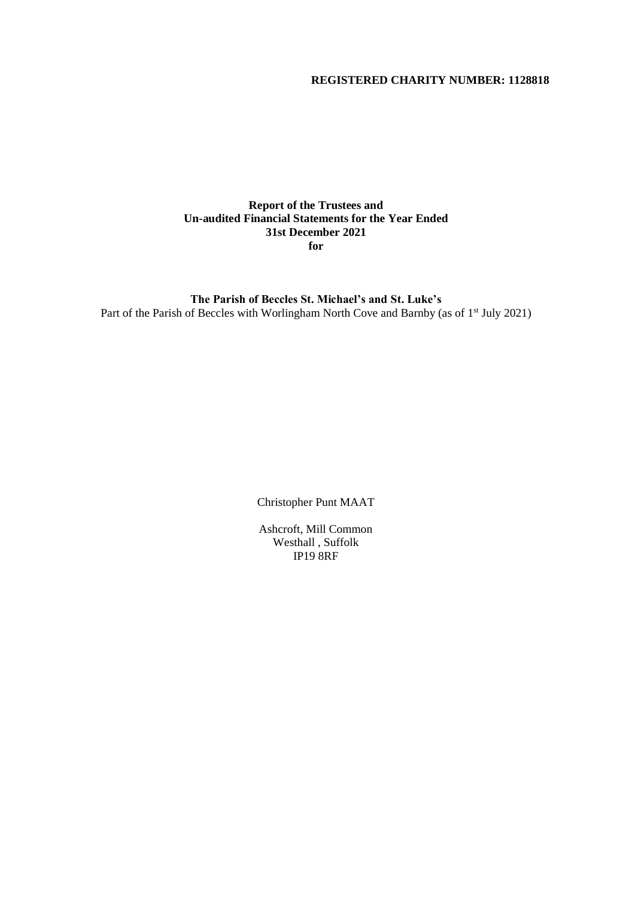# **REGISTERED CHARITY NUMBER: 1128818**

### **Report of the Trustees and Un-audited Financial Statements for the Year Ended 31st December 2021 for**

**The Parish of Beccles St. Michael's and St. Luke's** Part of the Parish of Beccles with Worlingham North Cove and Barnby (as of 1<sup>st</sup> July 2021)

Christopher Punt MAAT

Ashcroft, Mill Common Westhall , Suffolk IP19 8RF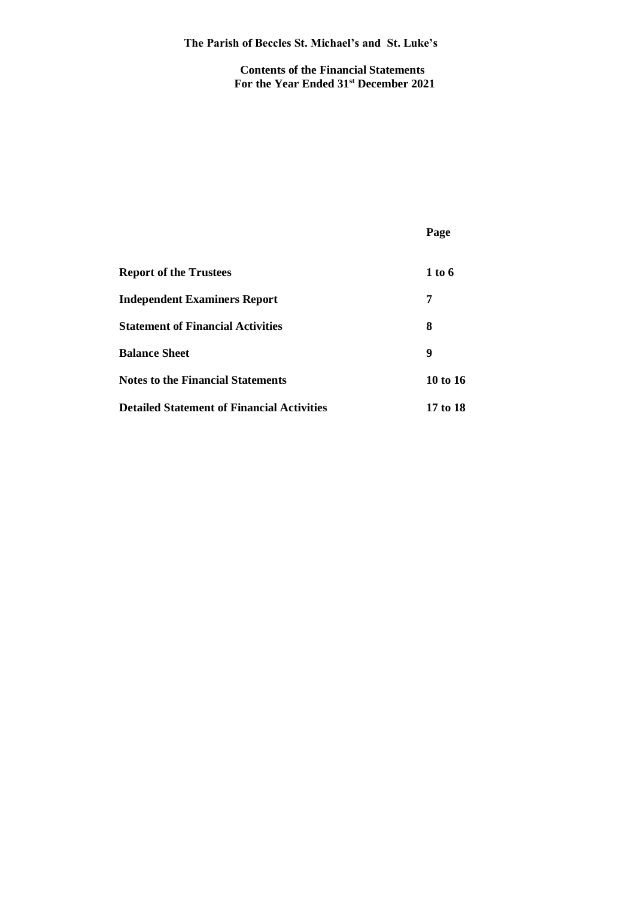**Contents of the Financial Statements For the Year Ended 31st December 2021**

|                                                   | Page       |
|---------------------------------------------------|------------|
| <b>Report of the Trustees</b>                     | 1 to 6     |
| <b>Independent Examiners Report</b>               | 7          |
| <b>Statement of Financial Activities</b>          | 8          |
| <b>Balance Sheet</b>                              | 9          |
| <b>Notes to the Financial Statements</b>          | 10 to $16$ |
| <b>Detailed Statement of Financial Activities</b> | 17 to 18   |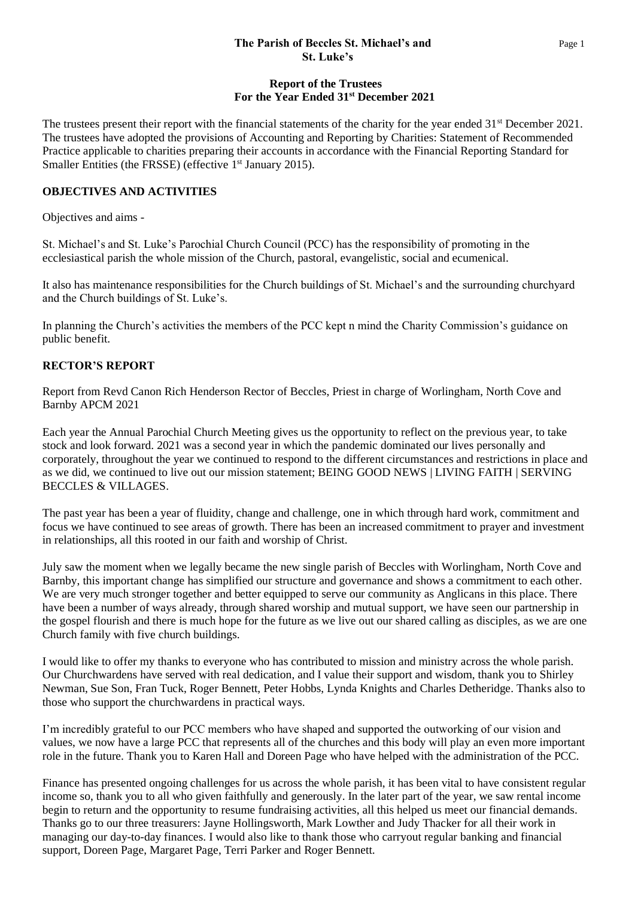### **The Parish of Beccles St. Michael's and** Page 1  **St. Luke's**

# **Report of the Trustees For the Year Ended 31st December 2021**

The trustees present their report with the financial statements of the charity for the year ended 31<sup>st</sup> December 2021. The trustees have adopted the provisions of Accounting and Reporting by Charities: Statement of Recommended Practice applicable to charities preparing their accounts in accordance with the Financial Reporting Standard for Smaller Entities (the FRSSE) (effective 1<sup>st</sup> January 2015).

# **OBJECTIVES AND ACTIVITIES**

Objectives and aims -

St. Michael's and St. Luke's Parochial Church Council (PCC) has the responsibility of promoting in the ecclesiastical parish the whole mission of the Church, pastoral, evangelistic, social and ecumenical.

It also has maintenance responsibilities for the Church buildings of St. Michael's and the surrounding churchyard and the Church buildings of St. Luke's.

In planning the Church's activities the members of the PCC kept n mind the Charity Commission's guidance on public benefit.

# **RECTOR'S REPORT**

Report from Revd Canon Rich Henderson Rector of Beccles, Priest in charge of Worlingham, North Cove and Barnby APCM 2021

Each year the Annual Parochial Church Meeting gives us the opportunity to reflect on the previous year, to take stock and look forward. 2021 was a second year in which the pandemic dominated our lives personally and corporately, throughout the year we continued to respond to the different circumstances and restrictions in place and as we did, we continued to live out our mission statement; BEING GOOD NEWS | LIVING FAITH | SERVING BECCLES & VILLAGES.

The past year has been a year of fluidity, change and challenge, one in which through hard work, commitment and focus we have continued to see areas of growth. There has been an increased commitment to prayer and investment in relationships, all this rooted in our faith and worship of Christ.

July saw the moment when we legally became the new single parish of Beccles with Worlingham, North Cove and Barnby, this important change has simplified our structure and governance and shows a commitment to each other. We are very much stronger together and better equipped to serve our community as Anglicans in this place. There have been a number of ways already, through shared worship and mutual support, we have seen our partnership in the gospel flourish and there is much hope for the future as we live out our shared calling as disciples, as we are one Church family with five church buildings.

I would like to offer my thanks to everyone who has contributed to mission and ministry across the whole parish. Our Churchwardens have served with real dedication, and I value their support and wisdom, thank you to Shirley Newman, Sue Son, Fran Tuck, Roger Bennett, Peter Hobbs, Lynda Knights and Charles Detheridge. Thanks also to those who support the churchwardens in practical ways.

I'm incredibly grateful to our PCC members who have shaped and supported the outworking of our vision and values, we now have a large PCC that represents all of the churches and this body will play an even more important role in the future. Thank you to Karen Hall and Doreen Page who have helped with the administration of the PCC.

Finance has presented ongoing challenges for us across the whole parish, it has been vital to have consistent regular income so, thank you to all who given faithfully and generously. In the later part of the year, we saw rental income begin to return and the opportunity to resume fundraising activities, all this helped us meet our financial demands. Thanks go to our three treasurers: Jayne Hollingsworth, Mark Lowther and Judy Thacker for all their work in managing our day-to-day finances. I would also like to thank those who carryout regular banking and financial support, Doreen Page, Margaret Page, Terri Parker and Roger Bennett.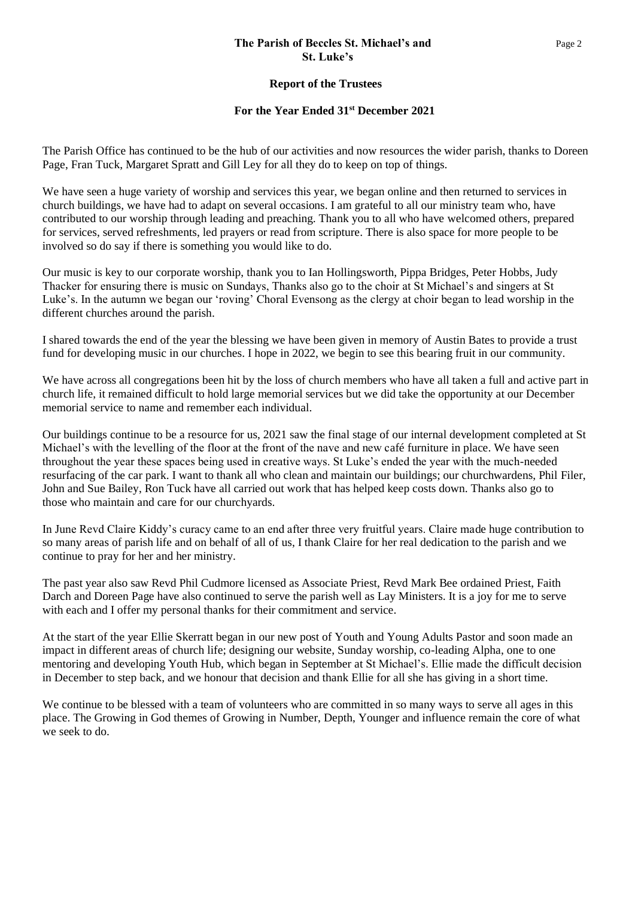### **The Parish of Beccles St. Michael's and** Page 2  **St. Luke's**

### **Report of the Trustees**

### **For the Year Ended 31st December 2021**

The Parish Office has continued to be the hub of our activities and now resources the wider parish, thanks to Doreen Page, Fran Tuck, Margaret Spratt and Gill Ley for all they do to keep on top of things.

We have seen a huge variety of worship and services this year, we began online and then returned to services in church buildings, we have had to adapt on several occasions. I am grateful to all our ministry team who, have contributed to our worship through leading and preaching. Thank you to all who have welcomed others, prepared for services, served refreshments, led prayers or read from scripture. There is also space for more people to be involved so do say if there is something you would like to do.

Our music is key to our corporate worship, thank you to Ian Hollingsworth, Pippa Bridges, Peter Hobbs, Judy Thacker for ensuring there is music on Sundays, Thanks also go to the choir at St Michael's and singers at St Luke's. In the autumn we began our 'roving' Choral Evensong as the clergy at choir began to lead worship in the different churches around the parish.

I shared towards the end of the year the blessing we have been given in memory of Austin Bates to provide a trust fund for developing music in our churches. I hope in 2022, we begin to see this bearing fruit in our community.

We have across all congregations been hit by the loss of church members who have all taken a full and active part in church life, it remained difficult to hold large memorial services but we did take the opportunity at our December memorial service to name and remember each individual.

Our buildings continue to be a resource for us, 2021 saw the final stage of our internal development completed at St Michael's with the levelling of the floor at the front of the nave and new café furniture in place. We have seen throughout the year these spaces being used in creative ways. St Luke's ended the year with the much-needed resurfacing of the car park. I want to thank all who clean and maintain our buildings; our churchwardens, Phil Filer, John and Sue Bailey, Ron Tuck have all carried out work that has helped keep costs down. Thanks also go to those who maintain and care for our churchyards.

In June Revd Claire Kiddy's curacy came to an end after three very fruitful years. Claire made huge contribution to so many areas of parish life and on behalf of all of us, I thank Claire for her real dedication to the parish and we continue to pray for her and her ministry.

The past year also saw Revd Phil Cudmore licensed as Associate Priest, Revd Mark Bee ordained Priest, Faith Darch and Doreen Page have also continued to serve the parish well as Lay Ministers. It is a joy for me to serve with each and I offer my personal thanks for their commitment and service.

At the start of the year Ellie Skerratt began in our new post of Youth and Young Adults Pastor and soon made an impact in different areas of church life; designing our website, Sunday worship, co-leading Alpha, one to one mentoring and developing Youth Hub, which began in September at St Michael's. Ellie made the difficult decision in December to step back, and we honour that decision and thank Ellie for all she has giving in a short time.

We continue to be blessed with a team of volunteers who are committed in so many ways to serve all ages in this place. The Growing in God themes of Growing in Number, Depth, Younger and influence remain the core of what we seek to do.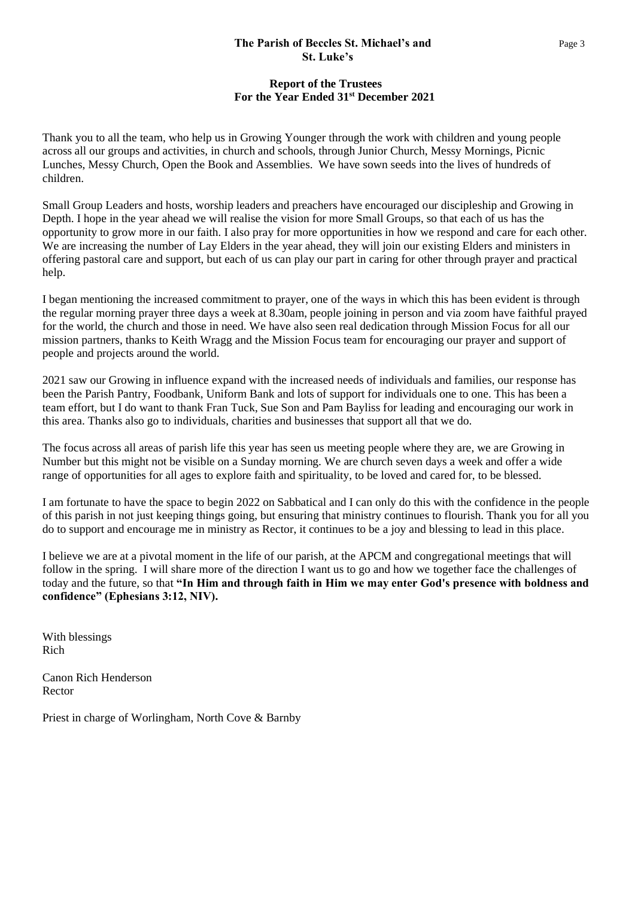### **The Parish of Beccles St. Michael's and** Page 3  **St. Luke's**

# **Report of the Trustees For the Year Ended 31st December 2021**

Thank you to all the team, who help us in Growing Younger through the work with children and young people across all our groups and activities, in church and schools, through Junior Church, Messy Mornings, Picnic Lunches, Messy Church, Open the Book and Assemblies. We have sown seeds into the lives of hundreds of children.

Small Group Leaders and hosts, worship leaders and preachers have encouraged our discipleship and Growing in Depth. I hope in the year ahead we will realise the vision for more Small Groups, so that each of us has the opportunity to grow more in our faith. I also pray for more opportunities in how we respond and care for each other. We are increasing the number of Lay Elders in the year ahead, they will join our existing Elders and ministers in offering pastoral care and support, but each of us can play our part in caring for other through prayer and practical help.

I began mentioning the increased commitment to prayer, one of the ways in which this has been evident is through the regular morning prayer three days a week at 8.30am, people joining in person and via zoom have faithful prayed for the world, the church and those in need. We have also seen real dedication through Mission Focus for all our mission partners, thanks to Keith Wragg and the Mission Focus team for encouraging our prayer and support of people and projects around the world.

2021 saw our Growing in influence expand with the increased needs of individuals and families, our response has been the Parish Pantry, Foodbank, Uniform Bank and lots of support for individuals one to one. This has been a team effort, but I do want to thank Fran Tuck, Sue Son and Pam Bayliss for leading and encouraging our work in this area. Thanks also go to individuals, charities and businesses that support all that we do.

The focus across all areas of parish life this year has seen us meeting people where they are, we are Growing in Number but this might not be visible on a Sunday morning. We are church seven days a week and offer a wide range of opportunities for all ages to explore faith and spirituality, to be loved and cared for, to be blessed.

I am fortunate to have the space to begin 2022 on Sabbatical and I can only do this with the confidence in the people of this parish in not just keeping things going, but ensuring that ministry continues to flourish. Thank you for all you do to support and encourage me in ministry as Rector, it continues to be a joy and blessing to lead in this place.

I believe we are at a pivotal moment in the life of our parish, at the APCM and congregational meetings that will follow in the spring. I will share more of the direction I want us to go and how we together face the challenges of today and the future, so that **"In Him and through faith in Him we may enter God's presence with boldness and confidence" (Ephesians 3:12, NIV).**

With blessings Rich

Canon Rich Henderson Rector

Priest in charge of Worlingham, North Cove & Barnby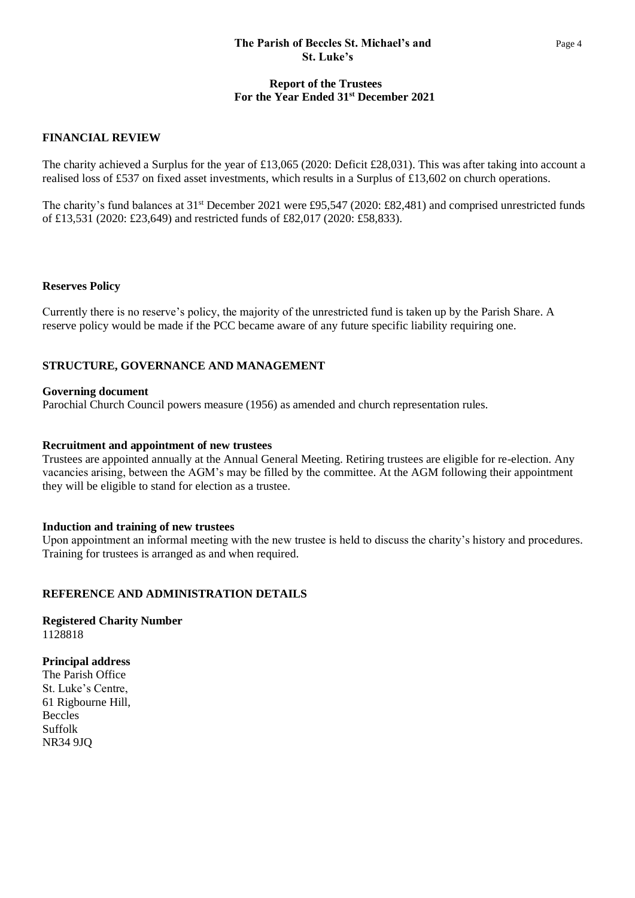### **The Parish of Beccles St. Michael's and** Page 4  **St. Luke's**

# **Report of the Trustees For the Year Ended 31st December 2021**

### **FINANCIAL REVIEW**

The charity achieved a Surplus for the year of £13,065 (2020: Deficit £28,031). This was after taking into account a realised loss of £537 on fixed asset investments, which results in a Surplus of £13,602 on church operations.

The charity's fund balances at 31<sup>st</sup> December 2021 were £95,547 (2020: £82,481) and comprised unrestricted funds of £13,531 (2020: £23,649) and restricted funds of £82,017 (2020: £58,833).

#### **Reserves Policy**

Currently there is no reserve's policy, the majority of the unrestricted fund is taken up by the Parish Share. A reserve policy would be made if the PCC became aware of any future specific liability requiring one.

### **STRUCTURE, GOVERNANCE AND MANAGEMENT**

#### **Governing document**

Parochial Church Council powers measure (1956) as amended and church representation rules.

#### **Recruitment and appointment of new trustees**

Trustees are appointed annually at the Annual General Meeting. Retiring trustees are eligible for re-election. Any vacancies arising, between the AGM's may be filled by the committee. At the AGM following their appointment they will be eligible to stand for election as a trustee.

#### **Induction and training of new trustees**

Upon appointment an informal meeting with the new trustee is held to discuss the charity's history and procedures. Training for trustees is arranged as and when required.

### **REFERENCE AND ADMINISTRATION DETAILS**

**Registered Charity Number** 1128818

**Principal address** The Parish Office St. Luke's Centre, 61 Rigbourne Hill, Beccles Suffolk NR34 9JQ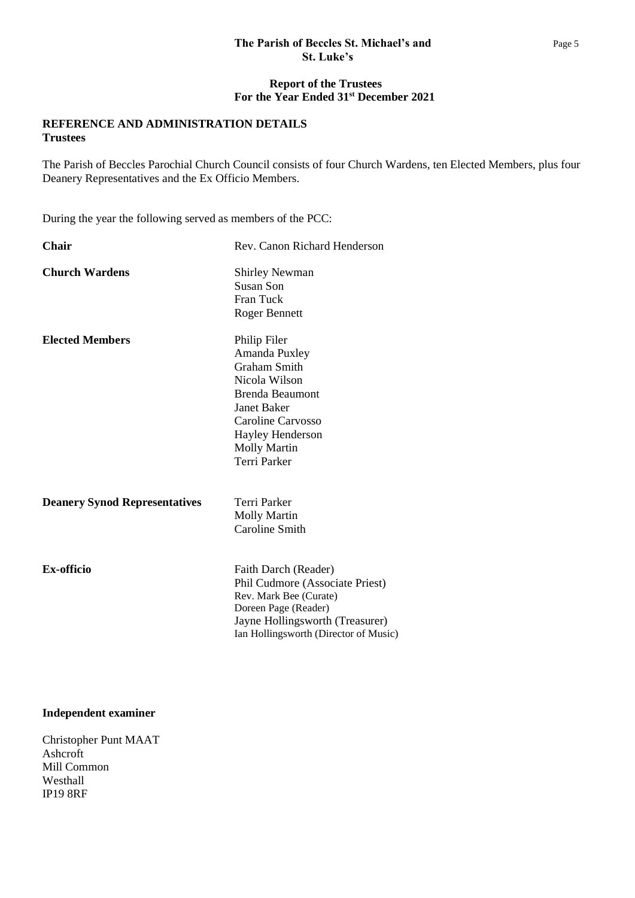# **The Parish of Beccles St. Michael's and** Page 5  **St. Luke's**

### **Report of the Trustees For the Year Ended 31st December 2021**

# **REFERENCE AND ADMINISTRATION DETAILS Trustees**

The Parish of Beccles Parochial Church Council consists of four Church Wardens, ten Elected Members, plus four Deanery Representatives and the Ex Officio Members.

During the year the following served as members of the PCC:

| Chair                                | Rev. Canon Richard Henderson                                                                                                                                                                          |
|--------------------------------------|-------------------------------------------------------------------------------------------------------------------------------------------------------------------------------------------------------|
| <b>Church Wardens</b>                | <b>Shirley Newman</b><br>Susan Son<br><b>Fran Tuck</b><br><b>Roger Bennett</b>                                                                                                                        |
| <b>Elected Members</b>               | Philip Filer<br>Amanda Puxley<br><b>Graham Smith</b><br>Nicola Wilson<br>Brenda Beaumont<br><b>Janet Baker</b><br>Caroline Carvosso<br>Hayley Henderson<br><b>Molly Martin</b><br><b>Terri Parker</b> |
| <b>Deanery Synod Representatives</b> | <b>Terri Parker</b><br><b>Molly Martin</b><br><b>Caroline Smith</b>                                                                                                                                   |
| <b>Ex-officio</b>                    | Faith Darch (Reader)<br>Phil Cudmore (Associate Priest)<br>Rev. Mark Bee (Curate)<br>Doreen Page (Reader)<br>Jayne Hollingsworth (Treasurer)<br>Ian Hollingsworth (Director of Music)                 |

### **Independent examiner**

Christopher Punt MAAT Ashcroft Mill Common Westhall IP19 8RF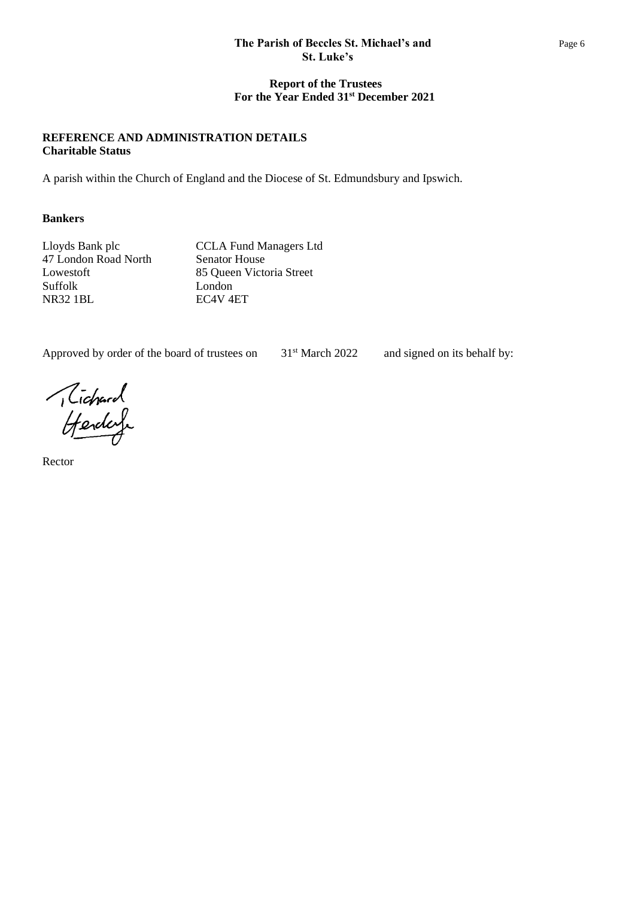# **The Parish of Beccles St. Michael's and** Page 6  **St. Luke's**

# **Report of the Trustees For the Year Ended 31st December 2021**

# **REFERENCE AND ADMINISTRATION DETAILS Charitable Status**

A parish within the Church of England and the Diocese of St. Edmundsbury and Ipswich.

# **Bankers**

Lloyds Bank plc CCLA Fund Managers Ltd 47 London Road North Senator House Lowestoft 85 Queen Victoria Street Suffolk London NR32 1BL EC4V 4ET

Approved by order of the board of trustees on 31<sup>st</sup> March 2022 and signed on its behalf by:

Tichard<br>Henderf

Rector